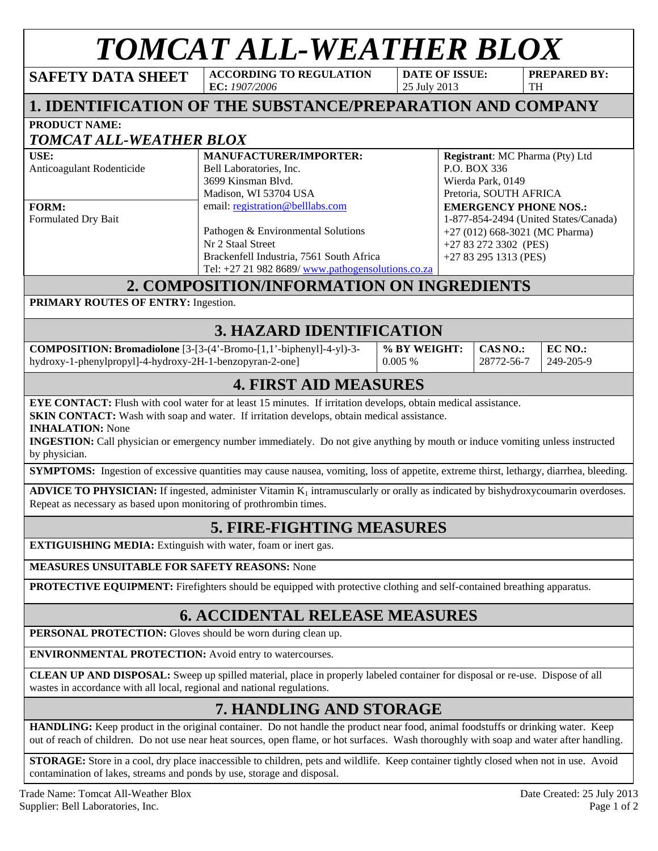## *TOMCAT ALL-WEATHER BLOX*

**PREPARED BY:** 

| <b>SAFETY DATA SHEET</b>                                                                                                       | <b>ACCORDING TO REGULATION</b><br>EC: 1907/2006                                                                                                                                                                                                                                                                                                                                                                                     |                        | <b>DATE OF ISSUE:</b><br>25 July 2013                                                                                                                       | <b>TH</b>                                                                                      | <b>PREPARED BY:</b>        |  |  |
|--------------------------------------------------------------------------------------------------------------------------------|-------------------------------------------------------------------------------------------------------------------------------------------------------------------------------------------------------------------------------------------------------------------------------------------------------------------------------------------------------------------------------------------------------------------------------------|------------------------|-------------------------------------------------------------------------------------------------------------------------------------------------------------|------------------------------------------------------------------------------------------------|----------------------------|--|--|
|                                                                                                                                | 1. IDENTIFICATION OF THE SUBSTANCE/PREPARATION AND COMPANY                                                                                                                                                                                                                                                                                                                                                                          |                        |                                                                                                                                                             |                                                                                                |                            |  |  |
| <b>PRODUCT NAME:</b>                                                                                                           |                                                                                                                                                                                                                                                                                                                                                                                                                                     |                        |                                                                                                                                                             |                                                                                                |                            |  |  |
| <b>TOMCAT ALL-WEATHER BLOX</b>                                                                                                 |                                                                                                                                                                                                                                                                                                                                                                                                                                     |                        |                                                                                                                                                             |                                                                                                |                            |  |  |
| USE:<br>Anticoagulant Rodenticide                                                                                              | MANUFACTURER/IMPORTER:<br>Bell Laboratories, Inc.<br>3699 Kinsman Blvd.<br>Madison, WI 53704 USA                                                                                                                                                                                                                                                                                                                                    |                        |                                                                                                                                                             | Registrant: MC Pharma (Pty) Ltd<br>P.O. BOX 336<br>Wierda Park, 0149<br>Pretoria, SOUTH AFRICA |                            |  |  |
| <b>FORM:</b><br>Formulated Dry Bait                                                                                            | email: registration@belllabs.com<br>Pathogen & Environmental Solutions<br>Nr 2 Staal Street<br>Brackenfell Industria, 7561 South Africa<br>Tel: +27 21 982 8689/ www.pathogensolutions.co.za                                                                                                                                                                                                                                        |                        | <b>EMERGENCY PHONE NOS.:</b><br>1-877-854-2494 (United States/Canada)<br>$+27$ (012) 668-3021 (MC Pharma)<br>+27 83 272 3302 (PES)<br>+27 83 295 1313 (PES) |                                                                                                |                            |  |  |
|                                                                                                                                | 2. COMPOSITION/INFORMATION ON INGREDIENTS                                                                                                                                                                                                                                                                                                                                                                                           |                        |                                                                                                                                                             |                                                                                                |                            |  |  |
| PRIMARY ROUTES OF ENTRY: Ingestion.                                                                                            |                                                                                                                                                                                                                                                                                                                                                                                                                                     |                        |                                                                                                                                                             |                                                                                                |                            |  |  |
|                                                                                                                                | <b>3. HAZARD IDENTIFICATION</b>                                                                                                                                                                                                                                                                                                                                                                                                     |                        |                                                                                                                                                             |                                                                                                |                            |  |  |
| COMPOSITION: Bromadiolone [3-[3-(4'-Bromo-[1,1'-biphenyl]-4-yl)-3-<br>hydroxy-1-phenylpropyl]-4-hydroxy-2H-1-benzopyran-2-one] |                                                                                                                                                                                                                                                                                                                                                                                                                                     | % BY WEIGHT:<br>0.005% |                                                                                                                                                             | CAS NO.:<br>28772-56-7                                                                         | EC NO.:<br>249-205-9       |  |  |
|                                                                                                                                | <b>4. FIRST AID MEASURES</b>                                                                                                                                                                                                                                                                                                                                                                                                        |                        |                                                                                                                                                             |                                                                                                |                            |  |  |
| by physician.<br>Repeat as necessary as based upon monitoring of prothrombin times.                                            | <b>INGESTION:</b> Call physician or emergency number immediately. Do not give anything by mouth or induce vomiting unless instructed<br><b>SYMPTOMS:</b> Ingestion of excessive quantities may cause nausea, vomiting, loss of appetite, extreme thirst, lethargy, diarrhea, bleeding.<br><b>ADVICE TO PHYSICIAN:</b> If ingested, administer Vitamin $K_1$ intramuscularly or orally as indicated by bishydroxycoumarin overdoses. |                        |                                                                                                                                                             |                                                                                                |                            |  |  |
|                                                                                                                                | <b>5. FIRE-FIGHTING MEASURES</b>                                                                                                                                                                                                                                                                                                                                                                                                    |                        |                                                                                                                                                             |                                                                                                |                            |  |  |
| <b>EXTIGUISHING MEDIA:</b> Extinguish with water, foam or inert gas.                                                           |                                                                                                                                                                                                                                                                                                                                                                                                                                     |                        |                                                                                                                                                             |                                                                                                |                            |  |  |
| <b>MEASURES UNSUITABLE FOR SAFETY REASONS: None</b>                                                                            |                                                                                                                                                                                                                                                                                                                                                                                                                                     |                        |                                                                                                                                                             |                                                                                                |                            |  |  |
|                                                                                                                                | <b>PROTECTIVE EQUIPMENT:</b> Firefighters should be equipped with protective clothing and self-contained breathing apparatus.                                                                                                                                                                                                                                                                                                       |                        |                                                                                                                                                             |                                                                                                |                            |  |  |
|                                                                                                                                | <b>6. ACCIDENTAL RELEASE MEASURES</b>                                                                                                                                                                                                                                                                                                                                                                                               |                        |                                                                                                                                                             |                                                                                                |                            |  |  |
| <b>PERSONAL PROTECTION:</b> Gloves should be worn during clean up.                                                             |                                                                                                                                                                                                                                                                                                                                                                                                                                     |                        |                                                                                                                                                             |                                                                                                |                            |  |  |
| <b>ENVIRONMENTAL PROTECTION:</b> Avoid entry to watercourses.                                                                  |                                                                                                                                                                                                                                                                                                                                                                                                                                     |                        |                                                                                                                                                             |                                                                                                |                            |  |  |
| wastes in accordance with all local, regional and national regulations.                                                        | <b>CLEAN UP AND DISPOSAL:</b> Sweep up spilled material, place in properly labeled container for disposal or re-use. Dispose of all                                                                                                                                                                                                                                                                                                 |                        |                                                                                                                                                             |                                                                                                |                            |  |  |
|                                                                                                                                | 7. HANDLING AND STORAGE                                                                                                                                                                                                                                                                                                                                                                                                             |                        |                                                                                                                                                             |                                                                                                |                            |  |  |
|                                                                                                                                | HANDLING: Keep product in the original container. Do not handle the product near food, animal foodstuffs or drinking water. Keep<br>out of reach of children. Do not use near heat sources, open flame, or hot surfaces. Wash thoroughly with soap and water after handling.                                                                                                                                                        |                        |                                                                                                                                                             |                                                                                                |                            |  |  |
| contamination of lakes, streams and ponds by use, storage and disposal.                                                        | <b>STORAGE:</b> Store in a cool, dry place inaccessible to children, pets and wildlife. Keep container tightly closed when not in use. Avoid                                                                                                                                                                                                                                                                                        |                        |                                                                                                                                                             |                                                                                                |                            |  |  |
| Trade Name: Tomcat All-Weather Blox                                                                                            |                                                                                                                                                                                                                                                                                                                                                                                                                                     |                        |                                                                                                                                                             |                                                                                                | Date Created: 25 July 2013 |  |  |